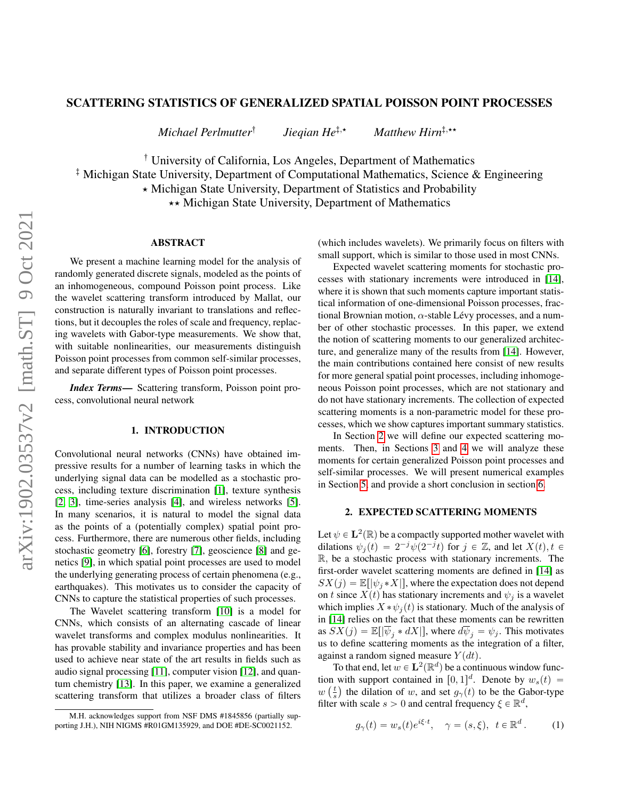# arXiv:1902.03537v2 [math.ST] 9 Oct 2021 arXiv:1902.03537v2 [math.ST] 9 Oct 2021

# SCATTERING STATISTICS OF GENERALIZED SPATIAL POISSON POINT PROCESSES

*Michael Perlmutter*: *Jieqian He*<sup> $\ddagger$ </sup>,\* *Matthew Hirn*<sup> $\ddagger$ </sup>,\*\*

<sup>†</sup> University of California, Los Angeles, Department of Mathematics

; Michigan State University, Department of Computational Mathematics, Science & Engineering

\* Michigan State University, Department of Statistics and Probability

 $\star\star$  Michigan State University, Department of Mathematics

# ABSTRACT

We present a machine learning model for the analysis of randomly generated discrete signals, modeled as the points of an inhomogeneous, compound Poisson point process. Like the wavelet scattering transform introduced by Mallat, our construction is naturally invariant to translations and reflections, but it decouples the roles of scale and frequency, replacing wavelets with Gabor-type measurements. We show that, with suitable nonlinearities, our measurements distinguish Poisson point processes from common self-similar processes, and separate different types of Poisson point processes.

*Index Terms*— Scattering transform, Poisson point process, convolutional neural network

# 1. INTRODUCTION

Convolutional neural networks (CNNs) have obtained impressive results for a number of learning tasks in which the underlying signal data can be modelled as a stochastic process, including texture discrimination [\[1\]](#page-4-0), texture synthesis [\[2,](#page-4-1) [3\]](#page-4-2), time-series analysis [\[4\]](#page-4-3), and wireless networks [\[5\]](#page-4-4). In many scenarios, it is natural to model the signal data as the points of a (potentially complex) spatial point process. Furthermore, there are numerous other fields, including stochastic geometry [\[6\]](#page-4-5), forestry [\[7\]](#page-4-6), geoscience [\[8\]](#page-4-7) and genetics [\[9\]](#page-4-8), in which spatial point processes are used to model the underlying generating process of certain phenomena (e.g., earthquakes). This motivates us to consider the capacity of CNNs to capture the statistical properties of such processes.

The Wavelet scattering transform [\[10\]](#page-4-9) is a model for CNNs, which consists of an alternating cascade of linear wavelet transforms and complex modulus nonlinearities. It has provable stability and invariance properties and has been used to achieve near state of the art results in fields such as audio signal processing [\[11\]](#page-4-10), computer vision [\[12\]](#page-4-11), and quantum chemistry [\[13\]](#page-4-12). In this paper, we examine a generalized scattering transform that utilizes a broader class of filters

(which includes wavelets). We primarily focus on filters with small support, which is similar to those used in most CNNs.

Expected wavelet scattering moments for stochastic processes with stationary increments were introduced in [\[14\]](#page-4-13), where it is shown that such moments capture important statistical information of one-dimensional Poisson processes, fractional Brownian motion,  $\alpha$ -stable Lévy processes, and a number of other stochastic processes. In this paper, we extend the notion of scattering moments to our generalized architecture, and generalize many of the results from [\[14\]](#page-4-13). However, the main contributions contained here consist of new results for more general spatial point processes, including inhomogeneous Poisson point processes, which are not stationary and do not have stationary increments. The collection of expected scattering moments is a non-parametric model for these processes, which we show captures important summary statistics.

In Section [2](#page-0-0) we will define our expected scattering moments. Then, in Sections [3](#page-1-0) and [4](#page-2-0) we will analyze these moments for certain generalized Poisson point processes and self-similar processes. We will present numerical examples in Section [5,](#page-3-0) and provide a short conclusion in section [6.](#page-3-1)

# 2. EXPECTED SCATTERING MOMENTS

<span id="page-0-0"></span>Let  $\psi \in \mathbf{L}^2(\mathbb{R})$  be a compactly supported mother wavelet with dilations  $\psi_j(t) = 2^{-j} \overline{\psi}(2^{-j}t)$  for  $j \in \mathbb{Z}$ , and let  $X(t), t \in$ R, be a stochastic process with stationary increments. The first-order wavelet scattering moments are defined in [\[14\]](#page-4-13) as  $SX(j) = \mathbb{E}[|\psi_j * X|]$ , where the expectation does not depend on t since  $X(t)$  has stationary increments and  $\psi_i$  is a wavelet which implies  $X * \psi_j(t)$  is stationary. Much of the analysis of in [\[14\]](#page-4-13) relies on the fact that these moments can be rewritten as  $SX(j) = \mathbb{E}[|\psi_j * dX|]$ , where  $d\psi_j = \psi_j$ . This motivates us to define scattering moments as the integration of a filter, against a random signed measure  $Y(dt)$ .

To that end, let  $w \in \mathbf{L}^2(\mathbb{R}^d)$  be a continuous window function with support contained in  $[0, 1]^d$ . Denote by  $w_s(t) =$  $w\left(\frac{t}{s}\right)$  the dilation of w, and set  $g_{\gamma}(t)$  to be the Gabor-type filter with scale  $s > 0$  and central frequency  $\xi \in \mathbb{R}^d$ ,

<span id="page-0-1"></span>
$$
g_{\gamma}(t) = w_s(t)e^{i\xi \cdot t}, \quad \gamma = (s, \xi), \ t \in \mathbb{R}^d. \tag{1}
$$

M.H. acknowledges support from NSF DMS #1845856 (partially supporting J.H.), NIH NIGMS #R01GM135929, and DOE #DE-SC0021152.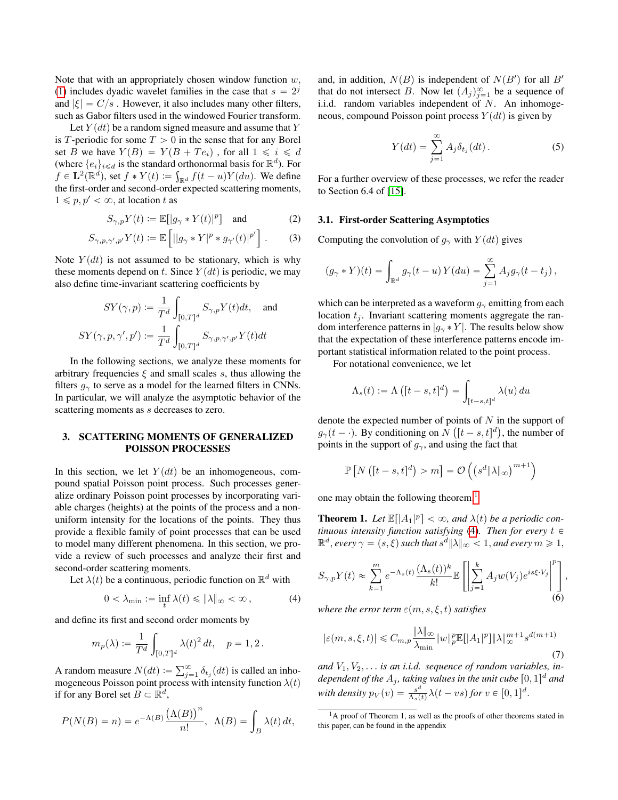Note that with an appropriately chosen window function  $w$ , [\(1\)](#page-0-1) includes dyadic wavelet families in the case that  $s = 2<sup>j</sup>$ and  $|\xi| = C/s$ . However, it also includes many other filters, such as Gabor filters used in the windowed Fourier transform.

Let  $Y(dt)$  be a random signed measure and assume that Y is T-periodic for some  $T > 0$  in the sense that for any Borel set B we have  $Y(B) = Y(B + Te_i)$ , for all  $1 \le i \le d$ (where  $\{e_i\}_{i \le d}$  is the standard orthonormal basis for  $\mathbb{R}^d$ ). For  $f \in \mathbf{L}^2(\mathbb{R}^d)$ , set  $f * Y(t) \coloneqq \int_{\mathbb{R}^d} f(t-u)Y(du)$ . We define the first-order and second-order expected scattering moments,  $1 \leq p, p' < \infty$ , at location t as

$$
S_{\gamma,p}Y(t) := \mathbb{E}[\left|g_{\gamma} * Y(t)\right|^p] \quad \text{and} \tag{2}
$$

$$
S_{\gamma,p,\gamma',p'}Y(t) := \mathbb{E}\left[||g_\gamma * Y|^p * g_{\gamma'}(t)|^{p'}\right].
$$
 (3)

Note  $Y(dt)$  is not assumed to be stationary, which is why these moments depend on t. Since  $Y(dt)$  is periodic, we may also define time-invariant scattering coefficients by ż

$$
SY(\gamma, p) := \frac{1}{T^d} \int_{[0,T]^d} S_{\gamma, p} Y(t) dt, \text{ and}
$$

$$
SY(\gamma, p, \gamma', p') := \frac{1}{T^d} \int_{[0,T]^d} S_{\gamma, p, \gamma', p'} Y(t) dt
$$

In the following sections, we analyze these moments for arbitrary frequencies  $\xi$  and small scales s, thus allowing the filters  $g_{\gamma}$  to serve as a model for the learned filters in CNNs. In particular, we will analyze the asymptotic behavior of the scattering moments as *s* decreases to zero.

# <span id="page-1-0"></span>3. SCATTERING MOMENTS OF GENERALIZED POISSON PROCESSES

In this section, we let  $Y(dt)$  be an inhomogeneous, compound spatial Poisson point process. Such processes generalize ordinary Poisson point processes by incorporating variable charges (heights) at the points of the process and a nonuniform intensity for the locations of the points. They thus provide a flexible family of point processes that can be used to model many different phenomena. In this section, we provide a review of such processes and analyze their first and second-order scattering moments.

Let  $\lambda(t)$  be a continuous, periodic function on  $\mathbb{R}^d$  with

<span id="page-1-2"></span>
$$
0 < \lambda_{\min} := \inf_{t} \lambda(t) \leq \|\lambda\|_{\infty} < \infty \,, \tag{4}
$$

and define its first and second order moments by ż

$$
m_p(\lambda) := \frac{1}{T^d} \int_{[0,T]^d} \lambda(t)^2 dt, \quad p = 1, 2.
$$

A random measure  $N(dt) := \sum_{j=1}^{\infty} \delta_{t_j}(dt)$  is called an inhomogeneous Poisson point process with intensity function  $\lambda(t)$ if for any Borel set  $B \subset \mathbb{R}^d$ ,  $\tilde{z}$ 

$$
P(N(B) = n) = e^{-\Lambda(B)} \frac{(\Lambda(B))^n}{n!}, \ \Lambda(B) = \int_B \lambda(t) dt,
$$

and, in addition,  $N(B)$  is independent of  $N(B')$  for all  $B'$ that do not intersect B. Now let  $(A_j)_{j=1}^\infty$  be a sequence of i.i.d. random variables independent of  $N$ . An inhomogeneous, compound Poisson point process  $Y(dt)$  is given by

$$
Y(dt) = \sum_{j=1}^{\infty} A_j \delta_{t_j}(dt).
$$
 (5)

For a further overview of these processes, we refer the reader to Section 6.4 of [\[15\]](#page-4-14).

#### <span id="page-1-5"></span>3.1. First-order Scattering Asymptotics

Computing the convolution of  $q_\gamma$  with  $Y(dt)$  gives

$$
(g_{\gamma} * Y)(t) = \int_{\mathbb{R}^d} g_{\gamma}(t - u) Y(du) = \sum_{j=1}^{\infty} A_j g_{\gamma}(t - t_j),
$$

which can be interpreted as a waveform  $g_{\gamma}$  emitting from each location  $t_i$ . Invariant scattering moments aggregate the random interference patterns in  $|g_\gamma * Y|$ . The results below show that the expectation of these interference patterns encode important statistical information related to the point process.

For notational convenience, we let

$$
\Lambda_s(t) := \Lambda\left([t-s,t]^d\right) = \int_{[t-s,t]^d} \lambda(u) \, du
$$

denote the expected number of points of  $N$  in the support of  $g_{\gamma}(t - \cdot)$ . By conditioning on  $N([t - s, t]^d)$ , the number of points in the support of  $g_{\gamma}$ , and using the fact that

$$
\mathbb{P}\left[N\left([t-s,t]^d\right)>m\right]=\mathcal{O}\left(\left(s^d\|\lambda\|_{\infty}\right)^{m+1}\right)
$$

one may obtain the following theorem.<sup>[1](#page-1-1)</sup>

<span id="page-1-3"></span>**Theorem 1.** Let  $\mathbb{E}[|A_1|^p] < \infty$ , and  $\lambda(t)$  be a periodic con*tinuous intensity function satisfying* [\(4\)](#page-1-2). Then for every  $t \in$  $\mathbb{R}^d$ , every  $\gamma = (s, \xi)$  such that  $s^{\tilde{d}} \|\lambda\|_{\infty} < 1$ , and every  $m \geqslant 1$ ,

<span id="page-1-4"></span>
$$
S_{\gamma,p}Y(t) \approx \sum_{k=1}^{m} e^{-\Lambda_s(t)} \frac{(\Lambda_s(t))^k}{k!} \mathbb{E}\left[\left|\sum_{j=1}^k A_j w(V_j)e^{is\xi \cdot V_j}\right|^p\right],\tag{6}
$$

*where the error term*  $\varepsilon(m, s, \xi, t)$  *satisfies* 

<span id="page-1-6"></span>
$$
|\varepsilon(m, s, \xi, t)| \leq C_{m, p} \frac{\|\lambda\|_{\infty}}{\lambda_{\min}} \|w\|_{p}^{p} \mathbb{E}[|A_{1}|^{p}] \|\lambda\|_{\infty}^{m+1} s^{d(m+1)}
$$
(7)

and  $V_1, V_2, \ldots$  *is an i.i.d. sequence of random variables, in*dependent of the  $A_j$ , taking values in the unit cube  $[0,1]^d$  and *with density*  $p_V(v) = \frac{s^d}{\Delta v}$  $\frac{s^a}{\Lambda_s(t)}\lambda(t - vs)$  for  $v \in [0, 1]^d$ .

<span id="page-1-1"></span><sup>&</sup>lt;sup>1</sup>A proof of Theorem 1, as well as the proofs of other theorems stated in this paper, can be found in the appendix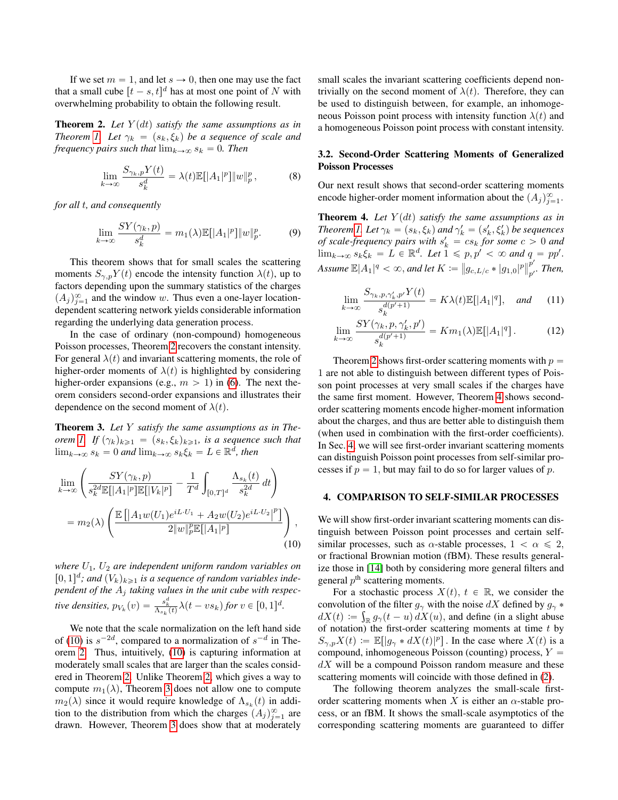If we set  $m = 1$ , and let  $s \to 0$ , then one may use the fact that a small cube  $[t - s, t]^d$  has at most one point of N with overwhelming probability to obtain the following result.

<span id="page-2-1"></span>**Theorem 2.** Let  $Y(dt)$  satisfy the same assumptions as in *Theorem [1.](#page-1-3) Let*  $\gamma_k = (s_k, \xi_k)$  *be a sequence of scale and frequency pairs such that*  $\lim_{k\to\infty} s_k = 0$ *. Then* 

<span id="page-2-5"></span>
$$
\lim_{k \to \infty} \frac{S_{\gamma_k, p} Y(t)}{s_k^d} = \lambda(t) \mathbb{E}[|A_1|^p] \|w\|_p^p, \tag{8}
$$

*for all t, and consequently* 

<span id="page-2-6"></span>
$$
\lim_{k \to \infty} \frac{SY(\gamma_k, p)}{s_k^d} = m_1(\lambda) \mathbb{E}[|A_1|^p] \|w\|_p^p. \tag{9}
$$

This theorem shows that for small scales the scattering moments  $S_{\gamma,p}Y(t)$  encode the intensity function  $\lambda(t)$ , up to factors depending upon the summary statistics of the charges  $(A_j)_{j=1}^{\infty}$  and the window w. Thus even a one-layer locationdependent scattering network yields considerable information regarding the underlying data generation process.

In the case of ordinary (non-compound) homogeneous Poisson processes, Theorem [2](#page-2-1) recovers the constant intensity. For general  $\lambda(t)$  and invariant scattering moments, the role of higher-order moments of  $\lambda(t)$  is highlighted by considering higher-order expansions (e.g.,  $m > 1$ ) in [\(6\)](#page-1-4). The next theorem considers second-order expansions and illustrates their dependence on the second moment of  $\lambda(t)$ .

<span id="page-2-3"></span>Theorem 3. *Let* Y *satisfy the same assumptions as in Theorem* [1.](#page-1-3) If  $(\gamma_k)_{k\geq 1} = (s_k, \xi_k)_{k\geq 1}$ , is a sequence such that  $\lim_{k\to\infty} s_k = 0$  and  $\lim_{k\to\infty} s_k \xi_k = L \in \mathbb{R}^d$ , then

$$
\lim_{k \to \infty} \left( \frac{SY(\gamma_k, p)}{s_k^{2d} \mathbb{E}[|A_1|^p] \mathbb{E}[|V_k|^p]} - \frac{1}{T^d} \int_{[0,T]^d} \frac{\Lambda_{s_k}(t)}{s_k^{2d}} dt \right)
$$
  
=  $m_2(\lambda) \left( \frac{\mathbb{E}[|A_1 w(U_1)e^{iL \cdot U_1} + A_2 w(U_2)e^{iL \cdot U_2}|^p]}{2\|w\|_p^p \mathbb{E}[|A_1|^p]} \right),$  (10)

*where* U1*,* U<sup>2</sup> *are independent uniform random variables on*  $[0, 1]^d$ ; and  $(V_k)_{k \geq 1}$  is a sequence of random variables inde*pendent of the* A<sup>j</sup> *taking values in the unit cube with respective densities,*  $p_{V_k}(v) = \frac{s_k^d}{\Lambda_{s_k}(t)} \lambda(t - vs_k)$  for  $v \in [0, 1]^d$ .

We note that the scale normalization on the left hand side of [\(10\)](#page-2-2) is  $s^{-2d}$ , compared to a normalization of  $s^{-d}$  in Theorem [2.](#page-2-1) Thus, intuitively, [\(10\)](#page-2-2) is capturing information at moderately small scales that are larger than the scales considered in Theorem [2.](#page-2-1) Unlike Theorem [2,](#page-2-1) which gives a way to compute  $m_1(\lambda)$ , Theorem [3](#page-2-3) does not allow one to compute  $m_2(\lambda)$  since it would require knowledge of  $\Lambda_{s_k}(t)$  in addition to the distribution from which the charges  $(A_j)_{j=1}^{\infty}$  are drawn. However, Theorem [3](#page-2-3) does show that at moderately

small scales the invariant scattering coefficients depend nontrivially on the second moment of  $\lambda(t)$ . Therefore, they can be used to distinguish between, for example, an inhomogeneous Poisson point process with intensity function  $\lambda(t)$  and a homogeneous Poisson point process with constant intensity.

# 3.2. Second-Order Scattering Moments of Generalized Poisson Processes

Our next result shows that second-order scattering moments encode higher-order moment information about the  $(A_j)_{j=1}^{\infty}$ .

<span id="page-2-4"></span>**Theorem 4.** Let  $Y(dt)$  satisfy the same assumptions as in *Theorem [1.](#page-1-3) Let*  $\gamma_k = (s_k, \xi_k)$  and  $\gamma'_k = (s'_k, \xi'_k)$  be sequences *of scale-frequency pairs with*  $s'_k = cs_k$  *for some*  $c > 0$  *and*  $\lim_{k\to\infty} s_k \xi_k = L \in \mathbb{R}^d$ . Let  $1 \leqslant p, p' < \infty$  and  $q = pp'$ . Assume  $\mathbb{E}|A_1|^q < \infty$ , and let  $K \coloneqq \|g_{c,L/c}*|g_{1,0}|^p\|_{p'}^{p'}$  $_{p^{\prime }}^{P}.$  Then,

<span id="page-2-8"></span><span id="page-2-7"></span>
$$
\lim_{k \to \infty} \frac{S_{\gamma_k, p, \gamma'_k, p'} Y(t)}{s_k^{d(p'+1)}} = K \lambda(t) \mathbb{E}[|A_1|^q], \quad \text{and} \tag{11}
$$

$$
\lim_{k \to \infty} \frac{SY(\gamma_k, p, \gamma'_k, p')}{s_k^{d(p'+1)}} = Km_1(\lambda) \mathbb{E}[|A_1|^q]. \tag{12}
$$

Theorem [2](#page-2-1) shows first-order scattering moments with  $p =$ 1 are not able to distinguish between different types of Poisson point processes at very small scales if the charges have the same first moment. However, Theorem [4](#page-2-4) shows secondorder scattering moments encode higher-moment information about the charges, and thus are better able to distinguish them (when used in combination with the first-order coefficients). In Sec. [4,](#page-2-0) we will see first-order invariant scattering moments can distinguish Poisson point processes from self-similar processes if  $p = 1$ , but may fail to do so for larger values of p.

#### <span id="page-2-0"></span>4. COMPARISON TO SELF-SIMILAR PROCESSES

<span id="page-2-2"></span>We will show first-order invariant scattering moments can distinguish between Poisson point processes and certain selfsimilar processes, such as  $\alpha$ -stable processes,  $1 < \alpha \leq 2$ , or fractional Brownian motion (fBM). These results generalize those in [\[14\]](#page-4-13) both by considering more general filters and general  $p<sup>th</sup>$  scattering moments.

For a stochastic process  $X(t)$ ,  $t \in \mathbb{R}$ , we consider the convolution of the filter  $g_{\gamma}$  with the noise  $dX$  defined by  $g_{\gamma}$  \*  $dX(t) := \int_{\mathbb{R}} g_{\gamma}(t-u) dX(u)$ , and define (in a slight abuse of notation) the first-order scattering moments at time  $t$  by  $S_{\gamma,p}X(t) := \mathbb{E}[|g_{\gamma}*dX(t)|^p]$ . In the case where  $X(t)$  is a compound, inhomogeneous Poisson (counting) process,  $Y =$  $dX$  will be a compound Poisson random measure and these scattering moments will coincide with those defined in [\(2\)](#page-1-5).

The following theorem analyzes the small-scale firstorder scattering moments when X is either an  $\alpha$ -stable process, or an fBM. It shows the small-scale asymptotics of the corresponding scattering moments are guaranteed to differ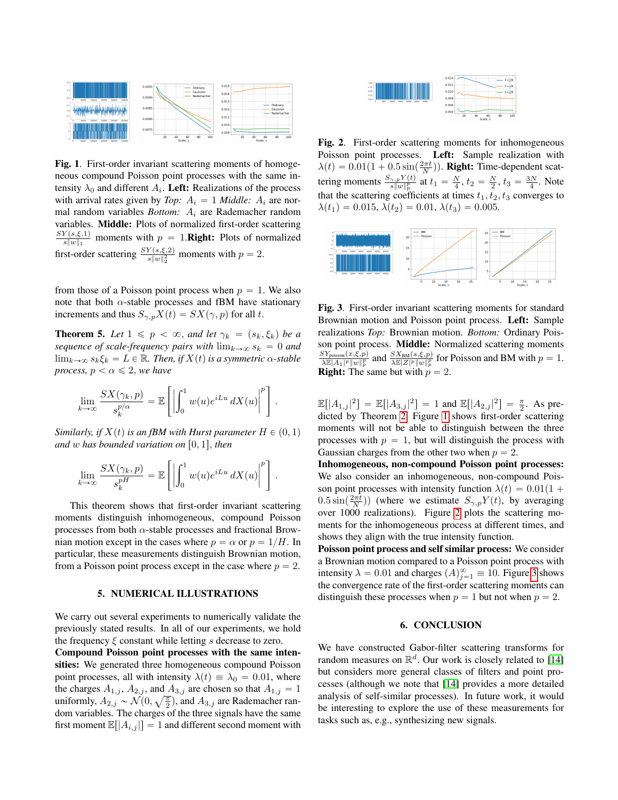

<span id="page-3-2"></span>Fig. 1. First-order invariant scattering moments of homogeneous compound Poisson point processes with the same intensity  $\lambda_0$  and different  $A_i$ . Left: Realizations of the process with arrival rates given by *Top:*  $A_i = 1$  *Middle:*  $A_i$  are normal random variables *Bottom:*  $A_i$  are Rademacher random variables. Middle: Plots of normalized first-order scattering  $SY(s,\xi,1)$  $\frac{f(s,\xi,1)}{s\|w\|_1}$  moments with  $p = 1$ . **Right:** Plots of normalized first-order scattering  $\frac{SY(s,\xi,2)}{s\|w\|_2^2}$  moments with  $p=2$ .

from those of a Poisson point process when  $p = 1$ . We also note that both  $\alpha$ -stable processes and fBM have stationary increments and thus  $S_{\gamma,p}X(t) = SX(\gamma, p)$  for all t.

<span id="page-3-5"></span>**Theorem 5.** Let  $1 \leq p < \infty$ , and let  $\gamma_k = (s_k, \xi_k)$  be a *sequence of scale-frequency pairs with*  $\lim_{k\to\infty} s_k = 0$  *and*  $\lim_{k\to\infty} s_k \xi_k = L \in \mathbb{R}$ *. Then, if*  $X(t)$  *is a symmetric*  $\alpha$ *-stable process,*  $p < \alpha \leq 2$ *, we have* 

$$
\lim_{k \to \infty} \frac{SX(\gamma_k, p)}{s_k^{p/\alpha}} = \mathbb{E}\left[\left|\int_0^1 w(u)e^{iLu} dX(u)\right|^p\right].
$$

*Similarly, if*  $X(t)$  *is an fBM with Hurst parameter*  $H \in (0, 1)$ *and* w has bounded variation on  $[0, 1]$ , then

$$
\lim_{k \to \infty} \frac{SX(\gamma_k, p)}{s_k^{pH}} = \mathbb{E}\left[\left|\int_0^1 w(u)e^{iLu} dX(u)\right|^p\right].
$$

This theorem shows that first-order invariant scattering moments distinguish inhomogeneous, compound Poisson processes from both  $\alpha$ -stable processes and fractional Brownian motion except in the cases where  $p = \alpha$  or  $p = 1/H$ . In particular, these measurements distinguish Brownian motion, from a Poisson point process except in the case where  $p = 2$ .

# 5. NUMERICAL ILLUSTRATIONS

<span id="page-3-0"></span>We carry out several experiments to numerically validate the previously stated results. In all of our experiments, we hold the frequency  $\xi$  constant while letting s decrease to zero.

Compound Poisson point processes with the same intensities: We generated three homogeneous compound Poisson point processes, all with intensity  $\lambda(t) \equiv \lambda_0 = 0.01$ , where the charges  $A_{1,j}$ ,  $A_{2,j}$ , and  $A_{3,j}$  are chosen so that  $A_{1,j} = 1$ <br>uniformly  $A_{2,j} \propto \mathcal{N}(0, \sqrt{\pi})$  and  $A_{3,j}$  are Rademacher ran uniformly,  $A_{2,j} \sim \mathcal{N}(0, \sqrt{\frac{\pi}{2}})$ , and  $A_{3,j}$  are Rademacher random variables. The charges of the three signals have the same first moment  $\mathbb{E}[A_{i,j}] = 1$  and different second moment with



<span id="page-3-3"></span>Fig. 2. First-order scattering moments for inhomogeneous Poisson point processes. Left: Sample realization with  $\lambda(t) = 0.01(1 + 0.5 \sin(\frac{2\pi t}{N}))$ . Right: Time-dependent scattering moments  $\frac{S_{\gamma,p}Y(t)}{s\|w\|_p^p}$  at  $t_1 = \frac{N}{4}$ ,  $t_2 = \frac{N}{2}$ ,  $t_3 = \frac{3N}{4}$ . Note that the scattering coefficients at times  $t_1, t_2, t_3$  converges to  $\lambda(t_1) = 0.015, \lambda(t_2) = 0.01, \lambda(t_3) = 0.005.$ 



<span id="page-3-4"></span>Fig. 3. First-order invariant scattering moments for standard Brownian motion and Poisson point process. Left: Sample realizations *Top:* Brownian motion. *Bottom:* Ordinary Poisson point process. Middle: Normalized scattering moments  $\frac{SY_{\text{poisson}}(x,\xi,p)}{\lambda \mathbb{E}|A_1|^p \|w\|_p^p}$  and  $\frac{SX_{\text{BM}}(s,\xi,p)}{\lambda \mathbb{E}|Z|^p \|w\|_p^p}$  for Poisson and BM with  $p=1$ . **Right:** The same but with  $p = 2$ .

 $\mathbb{E}[|A_{1,j}|^2] = \mathbb{E}[|A_{3,j}|^2] = 1$  and  $\mathbb{E}[|A_{2,j}|^2] = \frac{\pi}{2}$ . As predicted by Theorem [2,](#page-2-1) Figure [1](#page-3-2) shows first-order scattering moments will not be able to distinguish between the three processes with  $p = 1$ , but will distinguish the process with Gaussian charges from the other two when  $p = 2$ .

Inhomogeneous, non-compound Poisson point processes: We also consider an inhomogeneous, non-compound Poisson point processes with intensity function  $\lambda(t) = 0.01(1 +$  $(0.5\sin(\frac{2\pi t}{N}))$  (where we estimate  $S_{\gamma,p}Y(t)$ , by averaging over 1000 realizations). Figure [2](#page-3-3) plots the scattering moments for the inhomogeneous process at different times, and shows they align with the true intensity function.

Poisson point process and self similar process: We consider a Brownian motion compared to a Poisson point process with intensity  $\lambda = 0.01$  and charges  $(A)_{j=1}^{\infty} \equiv 10$ . Figure [3](#page-3-4) shows the convergence rate of the first-order scattering moments can distinguish these processes when  $p = 1$  but not when  $p = 2$ .

#### 6. CONCLUSION

<span id="page-3-1"></span>We have constructed Gabor-filter scattering transforms for random measures on  $\mathbb{R}^d$ . Our work is closely related to [\[14\]](#page-4-13) but considers more general classes of filters and point processes (although we note that [\[14\]](#page-4-13) provides a more detailed analysis of self-similar processes). In future work, it would be interesting to explore the use of these measurements for tasks such as, e.g., synthesizing new signals.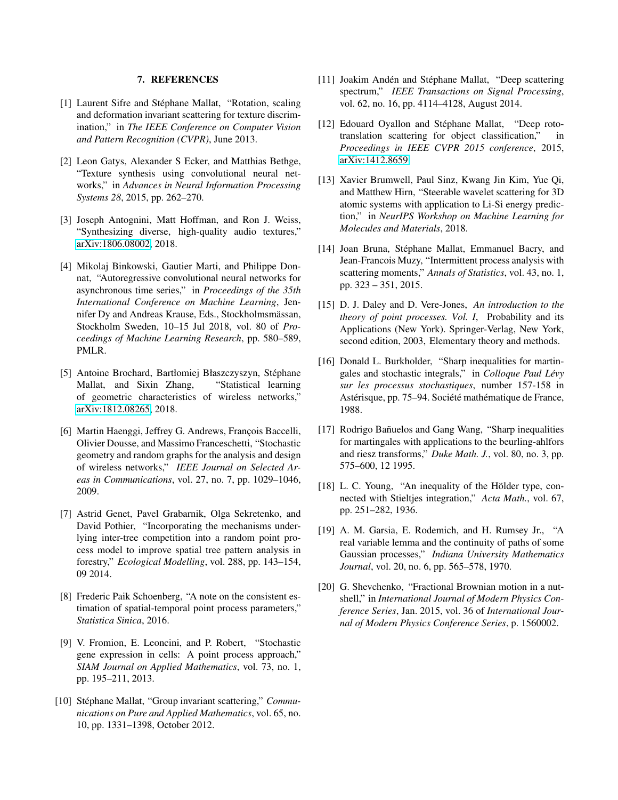## 7. REFERENCES

- <span id="page-4-0"></span>[1] Laurent Sifre and Stéphane Mallat, "Rotation, scaling and deformation invariant scattering for texture discrimination," in *The IEEE Conference on Computer Vision and Pattern Recognition (CVPR)*, June 2013.
- <span id="page-4-1"></span>[2] Leon Gatys, Alexander S Ecker, and Matthias Bethge, "Texture synthesis using convolutional neural networks," in *Advances in Neural Information Processing Systems 28*, 2015, pp. 262–270.
- <span id="page-4-2"></span>[3] Joseph Antognini, Matt Hoffman, and Ron J. Weiss, "Synthesizing diverse, high-quality audio textures," [arXiv:1806.08002,](http://arxiv.org/abs/1806.08002) 2018.
- <span id="page-4-3"></span>[4] Mikolaj Binkowski, Gautier Marti, and Philippe Donnat, "Autoregressive convolutional neural networks for asynchronous time series," in *Proceedings of the 35th International Conference on Machine Learning*, Jennifer Dy and Andreas Krause, Eds., Stockholmsmässan, Stockholm Sweden, 10–15 Jul 2018, vol. 80 of *Proceedings of Machine Learning Research*, pp. 580–589, PMLR.
- <span id="page-4-4"></span>[5] Antoine Brochard, Bartłomiej Błaszczyszyn, Stéphane Mallat, and Sixin Zhang, "Statistical learning of geometric characteristics of wireless networks," [arXiv:1812.08265,](http://arxiv.org/abs/1812.08265) 2018.
- <span id="page-4-5"></span>[6] Martin Haenggi, Jeffrey G. Andrews, François Baccelli, Olivier Dousse, and Massimo Franceschetti, "Stochastic geometry and random graphs for the analysis and design of wireless networks," *IEEE Journal on Selected Areas in Communications*, vol. 27, no. 7, pp. 1029–1046, 2009.
- <span id="page-4-6"></span>[7] Astrid Genet, Pavel Grabarnik, Olga Sekretenko, and David Pothier, "Incorporating the mechanisms underlying inter-tree competition into a random point process model to improve spatial tree pattern analysis in forestry," *Ecological Modelling*, vol. 288, pp. 143–154, 09 2014.
- <span id="page-4-7"></span>[8] Frederic Paik Schoenberg, "A note on the consistent estimation of spatial-temporal point process parameters," *Statistica Sinica*, 2016.
- <span id="page-4-8"></span>[9] V. Fromion, E. Leoncini, and P. Robert, "Stochastic gene expression in cells: A point process approach," *SIAM Journal on Applied Mathematics*, vol. 73, no. 1, pp. 195–211, 2013.
- <span id="page-4-9"></span>[10] Stéphane Mallat, "Group invariant scattering," *Communications on Pure and Applied Mathematics*, vol. 65, no. 10, pp. 1331–1398, October 2012.
- <span id="page-4-10"></span>[11] Joakim Andén and Stéphane Mallat, "Deep scattering spectrum," *IEEE Transactions on Signal Processing*, vol. 62, no. 16, pp. 4114–4128, August 2014.
- <span id="page-4-11"></span>[12] Edouard Oyallon and Stéphane Mallat, "Deep rototranslation scattering for object classification," in *Proceedings in IEEE CVPR 2015 conference*, 2015, [arXiv:1412.8659.](http://arxiv.org/abs/1412.8659)
- <span id="page-4-12"></span>[13] Xavier Brumwell, Paul Sinz, Kwang Jin Kim, Yue Qi, and Matthew Hirn, "Steerable wavelet scattering for 3D atomic systems with application to Li-Si energy prediction," in *NeurIPS Workshop on Machine Learning for Molecules and Materials*, 2018.
- <span id="page-4-13"></span>[14] Joan Bruna, Stéphane Mallat, Emmanuel Bacry, and Jean-Francois Muzy, "Intermittent process analysis with scattering moments," *Annals of Statistics*, vol. 43, no. 1, pp. 323 – 351, 2015.
- <span id="page-4-14"></span>[15] D. J. Daley and D. Vere-Jones, *An introduction to the theory of point processes. Vol. I*, Probability and its Applications (New York). Springer-Verlag, New York, second edition, 2003, Elementary theory and methods.
- <span id="page-4-15"></span>[16] Donald L. Burkholder, "Sharp inequalities for martingales and stochastic integrals," in *Colloque Paul Levy ´ sur les processus stochastiques*, number 157-158 in Astérisque, pp. 75–94. Société mathématique de France, 1988.
- <span id="page-4-16"></span>[17] Rodrigo Bañuelos and Gang Wang, "Sharp inequalities for martingales with applications to the beurling-ahlfors and riesz transforms," *Duke Math. J.*, vol. 80, no. 3, pp. 575–600, 12 1995.
- <span id="page-4-17"></span>[18] L. C. Young, "An inequality of the Hölder type, connected with Stieltjes integration," *Acta Math.*, vol. 67, pp. 251–282, 1936.
- <span id="page-4-18"></span>[19] A. M. Garsia, E. Rodemich, and H. Rumsey Jr., "A real variable lemma and the continuity of paths of some Gaussian processes," *Indiana University Mathematics Journal*, vol. 20, no. 6, pp. 565–578, 1970.
- <span id="page-4-19"></span>[20] G. Shevchenko, "Fractional Brownian motion in a nutshell," in *International Journal of Modern Physics Conference Series*, Jan. 2015, vol. 36 of *International Journal of Modern Physics Conference Series*, p. 1560002.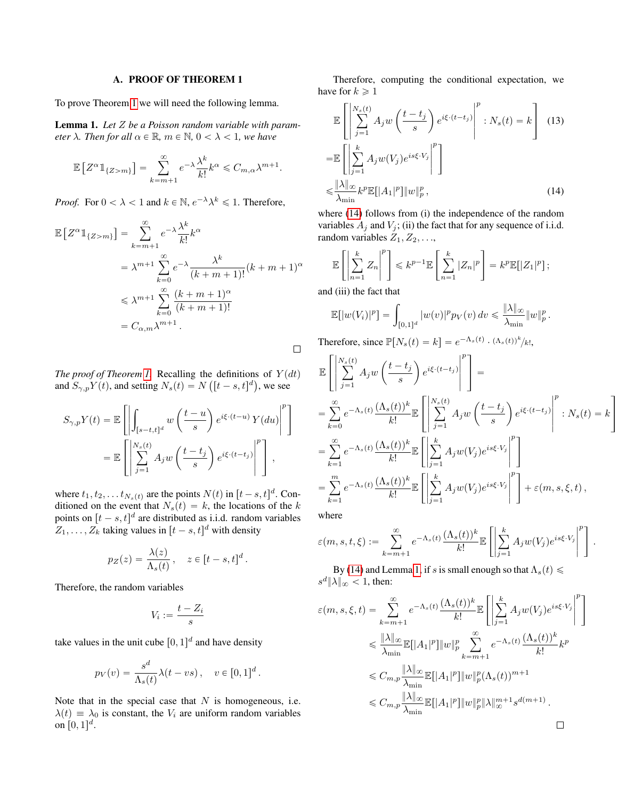#### A. PROOF OF THEOREM 1

To prove Theorem [1](#page-1-3) we will need the following lemma.

<span id="page-5-1"></span>Lemma 1. *Let* Z *be a Poisson random variable with parameter*  $\lambda$ *. Then for all*  $\alpha \in \mathbb{R}$ *,*  $m \in \mathbb{N}$ *,*  $0 < \lambda < 1$ *, we have* 

$$
\mathbb{E}\left[Z^{\alpha}\mathbb{1}_{\{Z>m\}}\right] = \sum_{k=m+1}^{\infty} e^{-\lambda} \frac{\lambda^k}{k!} k^{\alpha} \leq C_{m,\alpha} \lambda^{m+1}.
$$

*Proof.* For  $0 < \lambda < 1$  and  $k \in \mathbb{N}$ ,  $e^{-\lambda} \lambda^k \leq 1$ . Therefore,

$$
\mathbb{E}\left[Z^{\alpha}\mathbb{1}_{\{Z>m\}}\right] = \sum_{k=m+1}^{\infty} e^{-\lambda} \frac{\lambda^k}{k!} k^{\alpha}
$$

$$
= \lambda^{m+1} \sum_{k=0}^{\infty} e^{-\lambda} \frac{\lambda^k}{(k+m+1)!} (k+m+1)^{\alpha}
$$

$$
\leq \lambda^{m+1} \sum_{k=0}^{\infty} \frac{(k+m+1)^{\alpha}}{(k+m+1)!}
$$

$$
= C_{\alpha,m} \lambda^{m+1}.
$$

*The proof of Theorem [1.](#page-1-3)* Recalling the definitions of  $Y(dt)$ and  $S_{\gamma,p} Y(t)$ , and setting  $N_s(t) = N([t - s, t]^d)$ , we see

$$
S_{\gamma,p}Y(t) = \mathbb{E}\left[\left|\int_{[s-t,t]^d} w\left(\frac{t-u}{s}\right) e^{i\xi \cdot (t-u)} Y(du)\right|^p\right]
$$
  
= 
$$
\mathbb{E}\left[\left|\sum_{j=1}^{N_s(t)} A_j w\left(\frac{t-t_j}{s}\right) e^{i\xi \cdot (t-t_j)}\right|^p\right],
$$

where  $t_1, t_2, \ldots t_{N_s(t)}$  are the points  $N(t)$  in  $[t - s, t]^d$ . Conditioned on the event that  $N_s(t) = k$ , the locations of the k points on  $[t - s, t]^d$  are distributed as i.i.d. random variables  $Z_1, \ldots, Z_k$  taking values in  $[t - s, t]^d$  with density

$$
p_Z(z) = \frac{\lambda(z)}{\Lambda_s(t)}, \quad z \in [t-s, t]^d.
$$

Therefore, the random variables

$$
V_i:=\frac{t-Z_i}{s}
$$

take values in the unit cube  $[0, 1]^d$  and have density

$$
p_V(v) = \frac{s^d}{\Lambda_s(t)} \lambda(t - vs) \,, \quad v \in [0, 1]^d \,.
$$

Note that in the special case that  $N$  is homogeneous, i.e.  $\lambda(t) \equiv \lambda_0$  is constant, the  $V_i$  are uniform random variables on  $[0, 1]^d$ .

Therefore, computing the conditional expectation, we have for  $k \geqslant 1$ fi

$$
\mathbb{E}\left[\left|\sum_{j=1}^{N_s(t)} A_j w\left(\frac{t-t_j}{s}\right) e^{i\xi \cdot (t-t_j)}\right|^p : N_s(t) = k\right]
$$
(13)  

$$
= \mathbb{E}\left[\left|\sum_{j=1}^k A_j w(V_j) e^{is\xi \cdot V_j}\right|^p\right]
$$

$$
\leq \frac{\|\lambda\|_{\infty}}{\lambda_{\min}} k^p \mathbb{E}[|A_1|^p] \|w\|_p^p,
$$
(14)

where [\(14\)](#page-5-0) follows from (i) the independence of the random variables  $A_i$  and  $V_i$ ; (ii) the fact that for any sequence of i.i.d. random variables  $Z_1, Z_2, \ldots,$ for the control of the control of the control of the control of the control of the control of the control of the control of the control of the control of the control of the control of the control of the control of the cont

$$
\mathbb{E}\left[\left|\sum_{n=1}^k Z_n\right|^p\right] \leqslant k^{p-1} \mathbb{E}\left[\sum_{n=1}^k |Z_n|^p\right] = k^p \mathbb{E}[|Z_1|^p];
$$

and (iii) the fact that

$$
\mathbb{E}[|w(V_i)|^p] = \int_{[0,1]^d} |w(v)|^p p_V(v) dv \le \frac{\|\lambda\|_{\infty}}{\lambda_{\min}} \|w\|_p^p
$$

Therefore, since  $\mathbb{P}[N_s(t) = k] = e^{-\Lambda_s(t)} \cdot (\Lambda_s(t))^k / k!,$ 

$$
\mathbb{E}\left[\left|\sum_{j=1}^{N_s(t)} A_j w\left(\frac{t-t_j}{s}\right) e^{i\xi \cdot (t-t_j)}\right|^p\right] =
$$
\n
$$
= \sum_{k=0}^{\infty} e^{-\Lambda_s(t)} \frac{(\Lambda_s(t))^k}{k!} \mathbb{E}\left[\left|\sum_{j=1}^{N_s(t)} A_j w\left(\frac{t-t_j}{s}\right) e^{i\xi \cdot (t-t_j)}\right|^p : N_s(t) = k\right]
$$
\n
$$
= \sum_{k=1}^{\infty} e^{-\Lambda_s(t)} \frac{(\Lambda_s(t))^k}{k!} \mathbb{E}\left[\left|\sum_{j=1}^k A_j w(V_j) e^{is\xi \cdot V_j}\right|^p\right]
$$
\n
$$
= \sum_{k=1}^m e^{-\Lambda_s(t)} \frac{(\Lambda_s(t))^k}{k!} \mathbb{E}\left[\left|\sum_{j=1}^k A_j w(V_j) e^{is\xi \cdot V_j}\right|^p\right] + \varepsilon(m, s, \xi, t),
$$

<span id="page-5-0"></span>.

where

 $\Box$ 

where  

$$
\varepsilon(m, s, t, \xi) := \sum_{k=m+1}^{\infty} e^{-\Lambda_s(t)} \frac{(\Lambda_s(t))^k}{k!} \mathbb{E} \left[ \left| \sum_{j=1}^k A_j w(V_j) e^{is\xi \cdot V_j} \right|^p \right].
$$

By [\(14\)](#page-5-0) and Lemma [1,](#page-5-1) if s is small enough so that  $\Lambda_s(t) \leq$  $s^d$   $\|\lambda\|_{\infty}$  < 1, then: «ˇ

$$
\varepsilon(m, s, \xi, t) = \sum_{k=m+1}^{\infty} e^{-\Lambda_s(t)} \frac{(\Lambda_s(t))^k}{k!} \mathbb{E} \left[ \left| \sum_{j=1}^k A_j w(V_j) e^{is\xi \cdot V_j} \right|^p \right]
$$
  
\n
$$
\leq \frac{\|\lambda\|_{\infty}}{\lambda_{\min}} \mathbb{E}[|A_1|^p] \|w\|_p^p \sum_{k=m+1}^{\infty} e^{-\Lambda_s(t)} \frac{(\Lambda_s(t))^k}{k!} k^p
$$
  
\n
$$
\leq C_{m,p} \frac{\|\lambda\|_{\infty}}{\lambda_{\min}} \mathbb{E}[|A_1|^p] \|w\|_p^p (\Lambda_s(t))^{m+1}
$$
  
\n
$$
\leq C_{m,p} \frac{\|\lambda\|_{\infty}}{\lambda_{\min}} \mathbb{E}[|A_1|^p] \|w\|_p^p \|\lambda\|_{\infty}^{m+1} s^{d(m+1)}.
$$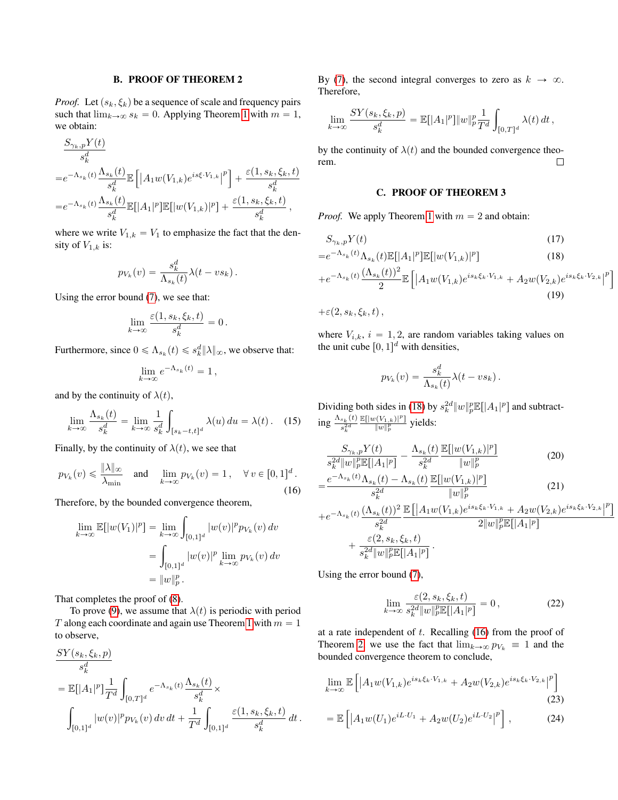# B. PROOF OF THEOREM 2

*Proof.* Let  $(s_k, \xi_k)$  be a sequence of scale and frequency pairs such that  $\lim_{k\to\infty} s_k = 0$ . Applying Theorem [1](#page-1-3) with  $m = 1$ , we obtain:

$$
\frac{S_{\gamma_k, p}Y(t)}{s_k^d}
$$
\n
$$
=e^{-\Lambda_{s_k}(t)}\frac{\Lambda_{s_k}(t)}{s_k^d}\mathbb{E}\left[\left|A_1w(V_{1,k})e^{is\xi\cdot V_{1,k}}\right|^p\right] + \frac{\varepsilon(1, s_k, \xi_k, t)}{s_k^d}
$$
\n
$$
=e^{-\Lambda_{s_k}(t)}\frac{\Lambda_{s_k}(t)}{s_k^d}\mathbb{E}[|A_1|^p]\mathbb{E}[|w(V_{1,k})|^p] + \frac{\varepsilon(1, s_k, \xi_k, t)}{s_k^d},
$$

where we write  $V_{1,k} = V_1$  to emphasize the fact that the density of  $V_{1,k}$  is:

$$
p_{V_k}(v) = \frac{s_k^d}{\Lambda_{s_k}(t)} \lambda(t - vs_k).
$$

Using the error bound [\(7\)](#page-1-6), we see that:

$$
\lim_{k \to \infty} \frac{\varepsilon(1, s_k, \xi_k, t)}{s_k^d} = 0.
$$

Furthermore, since  $0 \leq \Lambda_{s_k}(t) \leq s_k^d ||\lambda||_{\infty}$ , we observe that:

$$
\lim_{k \to \infty} e^{-\Lambda_{s_k}(t)} = 1,
$$

and by the continuity of  $\lambda(t)$ ,

<span id="page-6-2"></span>
$$
\lim_{k \to \infty} \frac{\Lambda_{s_k}(t)}{s_k^d} = \lim_{k \to \infty} \frac{1}{s_k^d} \int_{[s_k - t, t]^d} \lambda(u) \, du = \lambda(t) \,. \tag{15}
$$

Finally, by the continuity of  $\lambda(t)$ , we see that

<span id="page-6-1"></span>
$$
p_{V_k}(v) \leq \frac{\|\lambda\|_{\infty}}{\lambda_{\min}} \quad \text{and} \quad \lim_{k \to \infty} p_{V_k}(v) = 1, \quad \forall \, v \in [0, 1]^d \,.
$$

Therefore, by the bounded convergence theorem,

$$
\lim_{k \to \infty} \mathbb{E}[|w(V_1)|^p] = \lim_{k \to \infty} \int_{[0,1]^d} |w(v)|^p p_{V_k}(v) dv
$$
  
= 
$$
\int_{[0,1]^d} |w(v)|^p \lim_{k \to \infty} p_{V_k}(v) dv
$$
  
= 
$$
||w||_p^p.
$$

That completes the proof of [\(8\)](#page-2-5).

To prove [\(9\)](#page-2-6), we assume that  $\lambda(t)$  is periodic with period T along each coordinate and again use Theorem [1](#page-1-3) with  $m = 1$ to observe,

$$
\frac{SY(s_k, \xi_k, p)}{s_k^d}
$$
\n
$$
= \mathbb{E}[|A_1|^p] \frac{1}{T^d} \int_{[0,T]^d} e^{-\Lambda_{s_k}(t)} \frac{\Lambda_{s_k}(t)}{s_k^d} \times \int_{[0,1]^d} |w(v)|^p p_{V_k}(v) dv dt + \frac{1}{T^d} \int_{[0,1]^d} \frac{\varepsilon(1, s_k, \xi_k, t)}{s_k^d} dt.
$$

By [\(7\)](#page-1-6), the second integral converges to zero as  $k \to \infty$ . Therefore,

$$
\lim_{k \to \infty} \frac{SY(s_k, \xi_k, p)}{s_k^d} = \mathbb{E}[|A_1|^p] \|w\|_p^p \frac{1}{T^d} \int_{[0,T]^d} \lambda(t) dt,
$$

by the continuity of  $\lambda(t)$  and the bounded convergence theorem.  $\Box$ 

## C. PROOF OF THEOREM 3

*Proof.* We apply Theorem [1](#page-1-3) with  $m = 2$  and obtain:

$$
S_{\gamma_k, p} Y(t) \tag{17}
$$

$$
=e^{-\Lambda_{s_k}(t)}\Lambda_{s_k}(t)\mathbb{E}[|A_1|^p]\mathbb{E}[|w(V_{1,k})|^p]
$$
\n(18)

$$
+e^{-\Lambda_{s_k}(t)}\frac{(\Lambda_{s_k}(t))^2}{2}\mathbb{E}\left[\left|A_1w(V_{1,k})e^{is_k\xi_k\cdot V_{1,k}}+A_2w(V_{2,k})e^{is_k\xi_k\cdot V_{2,k}}\right|^p\right]
$$
\n(19)

<span id="page-6-0"></span>ı

<span id="page-6-3"></span>‰

$$
+\varepsilon(2,s_k,\xi_k,t)\,,
$$

where  $V_{i,k}$ ,  $i = 1, 2$ , are random variables taking values on the unit cube  $[0, 1]^d$  with densities,

$$
p_{V_k}(v) = \frac{s_k^d}{\Lambda_{s_k}(t)} \lambda(t - vs_k).
$$

Dividing both sides in [\(18\)](#page-6-0) by  $s_k^{2d} \|w\|_p^p \mathbb{E}[|A_1|^p]$  and subtract- $\log \frac{\Lambda_{s_k}(t)}{e^{2d}}$  $s_k^{2d}$  $\mathbb{E}[|w(V_{1,k})|^p]$  $rac{\sqrt{(v_1,k)!}}{\|w\|_p^p}$  yields:

$$
\frac{S_{\gamma_k, p} Y(t)}{s_k^{2d} \|w\|_p^p \mathbb{E}[|A_1|^p]} - \frac{\Lambda_{s_k}(t)}{s_k^{2d}} \frac{\mathbb{E}[|w(V_{1,k})|^p]}{\|w\|_p^p}
$$
\n
$$
= \frac{e^{-\Lambda_{s_k}(t)} \Lambda_{s_k}(t) - \Lambda_{s_k}(t)}{2d} \frac{\mathbb{E}[|w(V_{1,k})|^p]}{\|w\|_p^p}
$$
\n(21)

$$
= \frac{\frac{1}{s_k^{2d}} \sqrt{\frac{||w||_p^p}{||w||_p^p}}}{\frac{1}{s_k^{2d}} \mathbb{E}\left[\left|A_1 w(V_{1,k})e^{is_k\xi_k \cdot V_{1,k}} + A_2 w(V_{2,k})e^{is_k\xi_k \cdot V_{2,k}}\right|^p\right]} + \frac{\varepsilon(2, s_k, \xi_k, t)}{\frac{s_k^{2d}}{||w||_p^p \mathbb{E}\left[\left|A_1\right|^p\right]}} \cdot \frac{\varepsilon(2, s_k, \xi_k, t)}{\frac{s_k^{2d}}{||w||_p^p \mathbb{E}\left[\left|A_1\right|^p\right]}}.
$$

Using the error bound [\(7\)](#page-1-6),

<span id="page-6-5"></span><span id="page-6-4"></span>
$$
\lim_{k \to \infty} \frac{\varepsilon(2, s_k, \xi_k, t)}{s_k^{2d} \|w\|_p^p \mathbb{E}[|A_1|^p]} = 0, \qquad (22)
$$

at a rate independent of  $t$ . Recalling [\(16\)](#page-6-1) from the proof of Theorem [2,](#page-2-1) we use the fact that  $\lim_{k\to\infty} p_{V_k} \equiv 1$  and the bounded convergence theorem to conclude,

$$
\lim_{k \to \infty} \mathbb{E} \left[ \left| A_1 w(V_{1,k}) e^{i s_k \xi_k \cdot V_{1,k}} + A_2 w(V_{2,k}) e^{i s_k \xi_k \cdot V_{2,k}} \right|^p \right]
$$
\n
$$
= \mathbb{E} \left[ \left| A_2 w(U_{1,k}) e^{i L \cdot U_1} + A_2 w(U_{2,k}) e^{i L \cdot U_2} \right|^p \right] \tag{24}
$$

$$
= \mathbb{E}\left[ \left| A_1 w(U_1) e^{iL \cdot U_1} + A_2 w(U_2) e^{iL \cdot U_2} \right|^p \right], \tag{24}
$$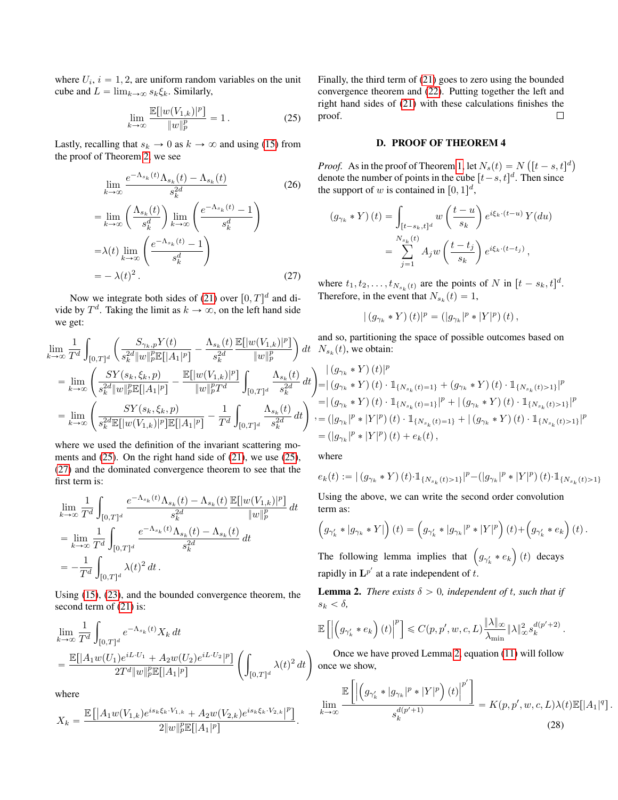where  $U_i$ ,  $i = 1, 2$ , are uniform random variables on the unit cube and  $L = \lim_{k \to \infty} s_k \xi_k$ . Similarly,

<span id="page-7-0"></span>
$$
\lim_{k \to \infty} \frac{\mathbb{E}[|w(V_{1,k})|^p]}{\|w\|_p^p} = 1. \tag{25}
$$

Lastly, recalling that  $s_k \to 0$  as  $k \to \infty$  and using [\(15\)](#page-6-2) from the proof of Theorem [2,](#page-2-1) we see

$$
\lim_{k \to \infty} \frac{e^{-\Lambda_{s_k}(t)} \Lambda_{s_k}(t) - \Lambda_{s_k}(t)}{s_k^{2d}}
$$
(26)  

$$
= \lim_{k \to \infty} \left(\frac{\Lambda_{s_k}(t)}{s_k^d}\right) \lim_{k \to \infty} \left(\frac{e^{-\Lambda_{s_k}(t)} - 1}{s_k^d}\right)
$$

$$
= \lambda(t) \lim_{k \to \infty} \left(\frac{e^{-\Lambda_{s_k}(t)} - 1}{s_k^d}\right)
$$

$$
= -\lambda(t)^2.
$$
(27)

Now we integrate both sides of [\(21\)](#page-6-3) over  $[0, T]^d$  and divide by  $T^d$ . Taking the limit as  $k \to \infty$ , on the left hand side we get:

$$
\lim_{k \to \infty} \frac{1}{T^d} \int_{[0,T]^d} \left( \frac{S_{\gamma_k, p} Y(t)}{s_k^{2d} \|w\|_p^p \mathbb{E}[|A_1|^p]} - \frac{\Lambda_{s_k}(t)}{s_k^{2d}} \frac{\mathbb{E}[|w(V_{1,k})|^p]}{\|w\|_p^p} \right) dt
$$
\n
$$
= \lim_{k \to \infty} \left( \frac{SY(s_k, \xi_k, p)}{s_k^{2d} \|w\|_p^p \mathbb{E}[|A_1|^p]} - \frac{\mathbb{E}[|w(V_{1,k})|^p]}{\|w\|_p^p T^d} \int_{[0,T]^d} \frac{\Lambda_{s_k}(t)}{s_k^{2d}} dt \right)
$$
\n
$$
= \lim_{k \to \infty} \left( \frac{SY(s_k, \xi_k, p)}{s_k^{2d} \mathbb{E}[|w(V_{1,k})|^p] \mathbb{E}[|A_1|^p]} - \frac{1}{T^d} \int_{[0,T]^d} \frac{\Lambda_{s_k}(t)}{s_k^{2d}} dt \right),
$$

where we used the definition of the invariant scattering moments and [\(25\)](#page-7-0). On the right hand side of [\(21\)](#page-6-3), we use [\(25\)](#page-7-0), [\(27\)](#page-7-1) and the dominated convergence theorem to see that the first term is:

$$
\lim_{k \to \infty} \frac{1}{T^d} \int_{[0,T]^d} \frac{e^{-\Lambda_{s_k}(t)} \Lambda_{s_k}(t) - \Lambda_{s_k}(t)}{s_k^{2d}} \frac{\mathbb{E}[|w(V_{1,k})|^p]}{\|w\|_p^p} dt
$$
\n
$$
= \lim_{k \to \infty} \frac{1}{T^d} \int_{[0,T]^d} \frac{e^{-\Lambda_{s_k}(t)} \Lambda_{s_k}(t) - \Lambda_{s_k}(t)}{s_k^{2d}} dt
$$
\n
$$
= -\frac{1}{T^d} \int_{[0,T]^d} \lambda(t)^2 dt.
$$

Using [\(15\)](#page-6-2), [\(23\)](#page-6-4), and the bounded convergence theorem, the second term of [\(21\)](#page-6-3) is:

$$
\lim_{k \to \infty} \frac{1}{T^d} \int_{[0,T]^d} e^{-\Lambda_{s_k}(t)} X_k dt
$$
\n
$$
= \frac{\mathbb{E}[|A_1 w(U_1)e^{iL \cdot U_1} + A_2 w(U_2)e^{iL \cdot U_2}|^p]}{2T^d \|w\|_p^p \mathbb{E}[|A_1|^p]} \left( \int_{[0,T]^d} \lambda(t)^2 dt \right)
$$

where

$$
X_k = \frac{\mathbb{E}\left[\left|A_1 w(V_{1,k})e^{is_k\xi_k \cdot V_{1,k}} + A_2 w(V_{2,k})e^{is_k\xi_k \cdot V_{2,k}}\right|^p\right]}{2\|w\|_p^p \mathbb{E}[|A_1|^p]}.
$$

Finally, the third term of [\(21\)](#page-6-3) goes to zero using the bounded convergence theorem and [\(22\)](#page-6-5). Putting together the left and right hand sides of [\(21\)](#page-6-3) with these calculations finishes the proof.  $\Box$ 

#### D. PROOF OF THEOREM 4

*Proof.* As in the proof of Theorem [1,](#page-1-3) let  $N_s(t) = N$  $[t-s,t]^d$ denote the number of points in the cube  $[t-s, t]^d$ . Then since the support of w is contained in  $[0, 1]^d$ ,

$$
(g_{\gamma_k} * Y)(t) = \int_{[t-s_k,t]^d} w\left(\frac{t-u}{s_k}\right) e^{i\xi_k \cdot (t-u)} Y(du)
$$
  
= 
$$
\sum_{j=1}^{N_{s_k}(t)} A_j w\left(\frac{t-t_j}{s_k}\right) e^{i\xi_k \cdot (t-t_j)},
$$

<span id="page-7-1"></span>where  $t_1, t_2, \ldots, t_{N_{s_k}(t)}$  are the points of N in  $[t - s_k, t]^d$ . Therefore, in the event that  $N_{s_k}(t) = 1$ ,

$$
|(g_{\gamma_k} * Y)(t)|^p = (|g_{\gamma_k}|^p * |Y|^p)(t),
$$

and so, partitioning the space of possible outcomes based on  $N_{s_k}(t)$ , we obtain:

$$
\begin{aligned}\n&|(g_{\gamma_k}*Y)(t)|^p \\
&=|(g_{\gamma_k}*Y)(t)\cdot \mathbbm{1}_{\{N_{s_k}(t)=1\}}+(g_{\gamma_k}*Y)(t)\cdot \mathbbm{1}_{\{N_{s_k}(t)>1\}}|^p \\
&=|(g_{\gamma_k}*Y)(t)\cdot \mathbbm{1}_{\{N_{s_k}(t)=1\}}|^p + |(g_{\gamma_k}*Y)(t)\cdot \mathbbm{1}_{\{N_{s_k}(t)>1\}}|^p \\
&=(|g_{\gamma_k}|^p*|Y|^p)(t)\cdot \mathbbm{1}_{\{N_{s_k}(t)=1\}}+|(g_{\gamma_k}*Y)(t)\cdot \mathbbm{1}_{\{N_{s_k}(t)>1\}}|^p \\
&=(|g_{\gamma_k}|^p*|Y|^p)(t)+e_k(t),\n\end{aligned}
$$

where

,

$$
e_k(t):=\vert\left(g_{\gamma_k}*Y\right)(t)\cdot \mathbb{1}_{\{N_{s_k}(t)>1\}}\vert^p-\left(\vert g_{\gamma_k}\vert^p\ast\vert Y\vert^p\right)(t)\cdot \mathbb{1}_{\{N_{s_k}(t)>1\}}
$$

Using the above, we can write the second order convolution term as: ´

$$
\left(g_{\gamma'_k} * |g_{\gamma_k} * Y|\right)(t) = \left(g_{\gamma'_k} * |g_{\gamma_k}|^p * |Y|^p\right)(t) + \left(g_{\gamma'_k} * e_k\right)(t).
$$

The following lemma implies that  $(g_{\gamma'_k} * e_k)(t)$  decays rapidly in  $\mathbf{L}^{p'}$  at a rate independent of t.

<span id="page-7-2"></span>**Lemma 2.** *There exists*  $\delta > 0$ *, independent of t, such that if*  $s_k < \delta$ ,

$$
\mathbb{E}\left[\left|\left(g_{\gamma_k'} * e_k\right)(t)\right|^p\right] \leqslant C(p, p', w, c, L) \frac{\|\lambda\|_{\infty}}{\lambda_{\min}} \|\lambda\|_{\infty}^2 s_k^{d(p'+2)}.
$$

Once we have proved Lemma [2,](#page-7-2) equation [\(11\)](#page-2-7) will follow once we show,

<span id="page-7-3"></span>
$$
\lim_{k \to \infty} \frac{\mathbb{E}\left[\left|\left(g_{\gamma'_k} * |g_{\gamma_k}|^p * |Y|^p\right)(t)\right|^{p'}\right]}{s_k^{d(p'+1)}} = K(p, p', w, c, L)\lambda(t)\mathbb{E}[|A_1|^q].
$$
\n(28)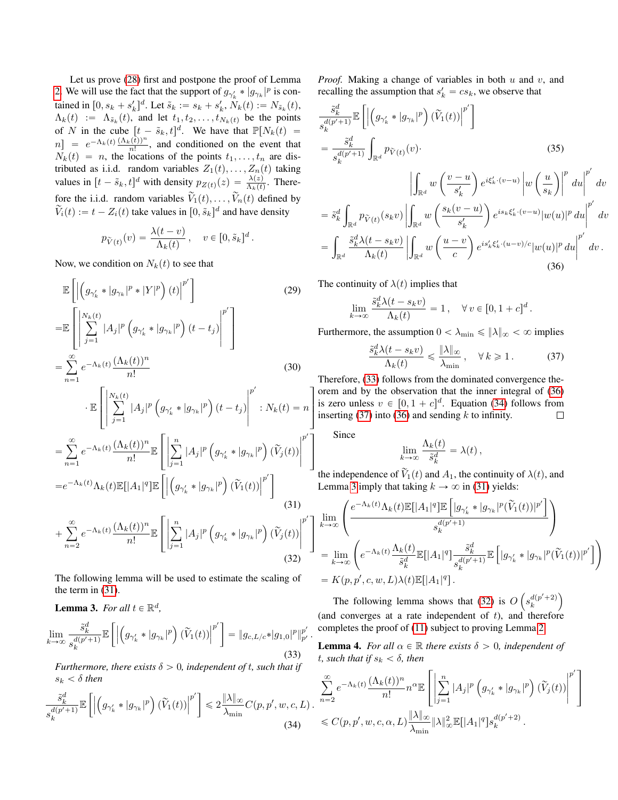Let us prove [\(28\)](#page-7-3) first and postpone the proof of Lemma [2.](#page-7-2) We will use the fact that the support of  $g_{\gamma'_k} * |g_{\gamma_k}|^p$  is contained in  $[0, s_k + s'_k]^d$ . Let  $\tilde{s}_k := s_k + s'_k$ ,  $N_k(t) := N_{\tilde{s}_k}(t)$ ,  $\Lambda_k(t) := \Lambda_{\tilde{s}_k}(t)$ , and let  $t_1, t_2, \ldots, t_{N_k(t)}$  be the points of N in the cube  $[t - \tilde{s}_k, t]^d$ . We have that  $\mathbb{P}[N_k(t)] =$  $[n] = e^{-\Lambda_k(t)} \frac{(\Lambda_k(t))^n}{n!}$ , and conditioned on the event that  $N_k(t) = n$ , the locations of the points  $t_1, \ldots, t_n$  are distributed as i.i.d. random variables  $Z_1(t), \ldots, Z_n(t)$  taking values in  $[t - \tilde{s}_k, t]^d$  with density  $p_{Z(t)}(z) = \frac{\lambda(z)}{\Lambda_k(t)}$ . Therefore the i.i.d. random variables  $\tilde{V}_1(t), \ldots, \tilde{V}_n(t)$  defined by  $\widetilde{V}_i(t) := t - Z_i(t)$  take values in  $[0, \widetilde{s}_k]^d$  and have density

$$
p_{\tilde{V}(t)}(v) = \frac{\lambda(t - v)}{\Lambda_k(t)}, \quad v \in [0, \tilde{s}_k]^d.
$$

Now, we condition on  $N_k(t)$  to see that

$$
\mathbb{E}\left[\left|\left(g_{\gamma'_{k}} * |g_{\gamma_{k}}|^{p} * |Y|^{p}\right)(t)\right|^{p'}\right]
$$
(29)  
\n
$$
=\mathbb{E}\left[\sum_{j=1}^{N_{k}(t)}|A_{j}|^{p}\left(g_{\gamma'_{k}} * |g_{\gamma_{k}}|^{p}\right)(t-t_{j})\right]^{p'}\right]
$$
(30)  
\n
$$
=\sum_{n=1}^{\infty}e^{-\Lambda_{k}(t)}\frac{(\Lambda_{k}(t))^{n}}{n!}
$$
(30)  
\n
$$
\cdot\mathbb{E}\left[\sum_{j=1}^{N_{k}(t)}|A_{j}|^{p}\left(g_{\gamma'_{k}} * |g_{\gamma_{k}}|^{p}\right)(t-t_{j})\right]^{p'}:N_{k}(t)=n\right]
$$
  
\n
$$
=\sum_{n=1}^{\infty}e^{-\Lambda_{k}(t)}\frac{(\Lambda_{k}(t))^{n}}{n!}\mathbb{E}\left[\sum_{j=1}^{n}|A_{j}|^{p}\left(g_{\gamma'_{k}} * |g_{\gamma_{k}}|^{p}\right)(\widetilde{V}_{j}(t))\right]^{p'}\right]
$$
  
\n
$$
=e^{-\Lambda_{k}(t)}\Lambda_{k}(t)\mathbb{E}[|A_{1}|^{q}]\mathbb{E}\left[\left(g_{\gamma'_{k}} * |g_{\gamma_{k}}|^{p}\right)(\widetilde{V}_{1}(t))\right]^{p'}\right]
$$
(31)  
\n
$$
+\sum_{n=2}^{\infty}e^{-\Lambda_{k}(t)}\frac{(\Lambda_{k}(t))^{n}}{n!}\mathbb{E}\left[\sum_{j=1}^{n}|A_{j}|^{p}\left(g_{\gamma'_{k}} * |g_{\gamma_{k}}|^{p}\right)(\widetilde{V}_{j}(t))\right]^{p'}\right]
$$
(32)

The following lemma will be used to estimate the scaling of the term in [\(31\)](#page-8-0).

<span id="page-8-5"></span>**Lemma 3.** For all  $t \in \mathbb{R}^d$ ,

<span id="page-8-1"></span>
$$
\lim_{k \to \infty} \frac{\tilde{s}_k^d}{s_k^{d(p'+1)}} \mathbb{E}\left[ \left| \left( g_{\gamma'_k} * |g_{\gamma_k}|^p \right) (\tilde{V}_1(t)) \right|^{p'} \right] = \| g_{c, L/c} * |g_{1,0}|^p \|^p_{p'}.
$$
\n(33)

*Furthermore, there exists*  $\delta > 0$ *, independent of t, such that if*  $s_k < \delta$  *then* 

<span id="page-8-3"></span>
$$
\frac{\tilde{s}_{k}^{d}}{s_{k}^{d(p'+1)}} \mathbb{E}\left[\left|\left(g_{\gamma'_{k}} * |g_{\gamma_{k}}|^{p}\right)(\widetilde{V}_{1}(t))\right|^{p'}\right] \leq 2 \frac{\|\lambda\|_{\infty}}{\lambda_{\min}} C(p, p', w, c, L) .
$$
\n(34)

*Proof.* Making a change of variables in both u and v, and recalling the assumption that  $s'_k = cs_k$ , we observe that

$$
\frac{\tilde{s}_{k}^{d}}{s_{k}^{d(p'+1)}} \mathbb{E}\left[\left|\left(g_{\gamma'_{k}} * |g_{\gamma_{k}}|^{p}\right) (\tilde{V}_{1}(t))\right|^{p'}\right]
$$
\n
$$
= \frac{\tilde{s}_{k}^{d}}{s_{k}^{d(p'+1)}} \int_{\mathbb{R}^{d}} p_{\tilde{V}(t)}(v) \cdot \qquad (35)
$$
\n
$$
\left|\int_{\mathbb{R}^{d}} w\left(\frac{v-u}{s_{k}'}\right) e^{i\xi'_{k}\cdot(v-u)} \left|w\left(\frac{u}{s_{k}}\right)\right|^{p'} du\right|^{p'} dv
$$
\n
$$
= \tilde{s}_{k}^{d} \int_{\mathbb{R}^{d}} p_{\tilde{V}(t)}(s_{k}v) \left|\int_{\mathbb{R}^{d}} w\left(\frac{s_{k}(v-u)}{s_{k}'}\right) e^{is_{k}\xi'_{k}\cdot(v-u)} |w(u)|^{p} du\right|^{p'} dv
$$
\n
$$
= \int_{\mathbb{R}^{d}} \frac{\tilde{s}_{k}^{d}\lambda(t-s_{k}v)}{\Lambda_{k}(t)} \left|\int_{\mathbb{R}^{d}} w\left(\frac{u-v}{c}\right) e^{is_{k}'\xi'_{k}\cdot(u-v)/c} |w(u)|^{p} du\right|^{p'} dv.
$$
\n(36)

The continuity of  $\lambda(t)$  implies that

$$
\lim_{k \to \infty} \frac{\tilde{s}_k^d \lambda(t - s_k v)}{\Lambda_k(t)} = 1, \quad \forall v \in [0, 1 + c]^d.
$$

Furthermore, the assumption  $0 < \lambda_{\min} \leq \|\lambda\|_{\infty} < \infty$  implies

<span id="page-8-4"></span><span id="page-8-2"></span>
$$
\frac{\tilde{s}_k^d \lambda(t - s_k v)}{\Lambda_k(t)} \leq \frac{\|\lambda\|_{\infty}}{\lambda_{\min}}, \quad \forall \, k \geq 1. \tag{37}
$$

Therefore, [\(33\)](#page-8-1) follows from the dominated convergence theorem and by the observation that the inner integral of [\(36\)](#page-8-2) is zero unless  $v \in [0, 1 + c]^d$ . Equation [\(34\)](#page-8-3) follows from inserting [\(37\)](#page-8-4) into [\(36\)](#page-8-2) and sending  $k$  to infinity. П

Since

$$
\lim_{k \to \infty} \frac{\Lambda_k(t)}{\tilde{s}_k^d} = \lambda(t),
$$

the independence of  $\widetilde{V}_1(t)$  and  $A_1$ , the continuity of  $\lambda(t)$ , and Lemma [3](#page-8-5) imply that taking  $k \to \infty$  in [\(31\)](#page-8-0) yields: ı

<span id="page-8-0"></span>
$$
\begin{split} &\lim_{k\rightarrow\infty}\left(\frac{e^{-\Lambda_k(t)}\Lambda_k(t)\mathbb{E}[|A_1|^q]\mathbb{E}\left[|g_{\gamma_k'}\ast|g_{\gamma_k}|^p(\tilde{V}_1(t))|^{p'}\right]}{s_k^{d(p'+1)}}\right)\\ &=\lim_{k\rightarrow\infty}\left(e^{-\Lambda_k(t)}\frac{\Lambda_k(t)}{\tilde{s}_k^d}\mathbb{E}[|A_1|^q]\frac{\tilde{s}_k^d}{s_k^{d(p'+1)}}\mathbb{E}\left[|g_{\gamma_k'}\ast|g_{\gamma_k}|^p(\tilde{V}_1(t))|^{p'}\right]\right)\\ &=K(p,p',c,w,L)\lambda(t)\mathbb{E}[|A_1|^q]\,. \end{split}
$$

<span id="page-8-6"></span>The following lemma shows that  $(32)$  is O  $s_k^{d(p'+2)}$ (and converges at a rate independent of  $t$ ), and therefore completes the proof of [\(11\)](#page-2-7) subject to proving Lemma [2.](#page-7-2)

<span id="page-8-7"></span>**Lemma 4.** *For all*  $\alpha \in \mathbb{R}$  *there exists*  $\delta > 0$ *, independent of t*, such that if  $s_k < \delta$ , then »

$$
\sum_{n=2}^{\infty} e^{-\Lambda_k(t)} \frac{(\Lambda_k(t))^n}{n!} n^{\alpha} \mathbb{E} \left[ \left| \sum_{j=1}^n |A_j|^p \left( g_{\gamma'_k} * |g_{\gamma_k}|^p \right) (\widetilde{V}_j(t)) \right|^{p'} \right]
$$
  

$$
\leq C(p, p', w, c, \alpha, L) \frac{\|\lambda\|_{\infty}}{\lambda_{\min}} \|\lambda\|_{\infty}^2 \mathbb{E} [|A_1|^q] s_k^{d(p'+2)}.
$$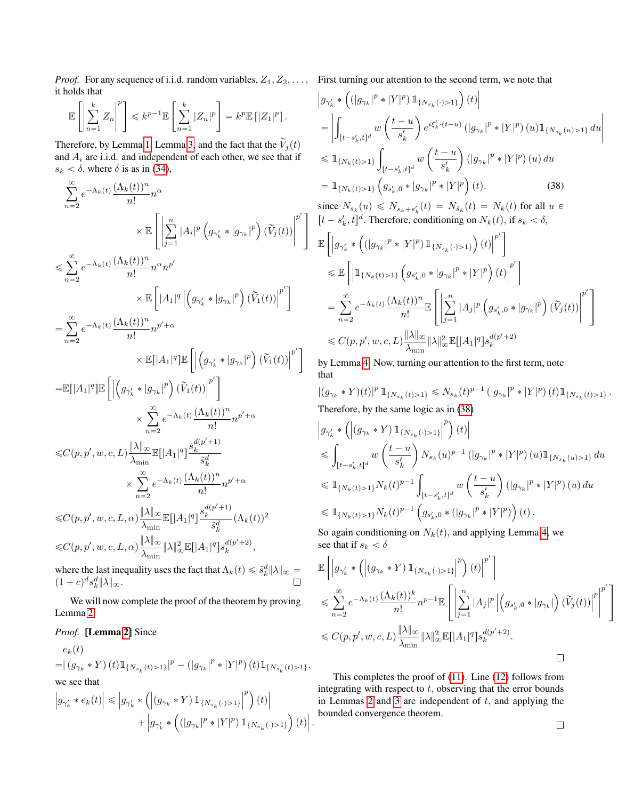*Proof.* For any sequence of i.i.d. random variables,  $Z_1, Z_2, \ldots$ , First turning our attention to the second term, we note that it holds that  $p_{\mathbf{1}}$ for the control of the control of the control of the control of the control of the control of the control of the control of the control of the control of the control of the control of the control of the control of the cont

$$
\mathbb{E}\left[\left|\sum_{n=1}^k Z_n\right|^p\right] \leqslant k^{p-1} \mathbb{E}\left[\sum_{n=1}^k |Z_n|^p\right] = k^p \mathbb{E}\left[|Z_1|^p\right].
$$

Therefore, by Lemma [1,](#page-5-1) Lemma [3,](#page-8-5) and the fact that the  $\tilde{V}_i(t)$ and  $A_i$  are i.i.d. and independent of each other, we see that if  $s_k < \delta$ , where  $\delta$  is as in [\(34\)](#page-8-3),

$$
\sum_{n=2}^{\infty} e^{-\Lambda_k(t)} \frac{(\Lambda_k(t))^n}{n!} n^{\alpha}
$$
\n
$$
\times \mathbb{E}\left[\left|\sum_{j=1}^n |A_i|^p \left(g_{\gamma'_k} * |g_{\gamma_k}|^p\right) (\tilde{V}_j(t))\right|^p'\right]
$$
\n
$$
\leq \sum_{n=2}^{\infty} e^{-\Lambda_k(t)} \frac{(\Lambda_k(t))^n}{n!} n^{\alpha} n^{p'}
$$
\n
$$
\times \mathbb{E}\left[|A_1|^q \left| \left(g_{\gamma'_k} * |g_{\gamma_k}|^p\right) (\tilde{V}_1(t))\right|^p'\right]
$$
\n
$$
= \sum_{n=2}^{\infty} e^{-\Lambda_k(t)} \frac{(\Lambda_k(t))^n}{n!} n^{p' + \alpha}
$$
\n
$$
\times \mathbb{E}[|A_1|^q] \mathbb{E}\left[\left| \left(g_{\gamma'_k} * |g_{\gamma_k}|^p\right) (\tilde{V}_1(t))\right|^p' \right]
$$
\n
$$
= \mathbb{E}[|A_1|^q] \mathbb{E}\left[\left| \left(g_{\gamma'_k} * |g_{\gamma_k}|^p\right) (\tilde{V}_1(t))\right|^p' \right]
$$
\n
$$
\times \sum_{n=2}^{\infty} e^{-\Lambda_k(t)} \frac{(\Lambda_k(t))^n}{n!} n^{p' + \alpha}
$$
\n
$$
\leq C(p, p', w, c, L) \frac{\|\lambda\|_{\infty}}{\lambda_{\min}} \mathbb{E}[|A_1|^q] \frac{s_k^{d(p' + 1)}}{s_k^d}
$$
\n
$$
\times \sum_{n=2}^{\infty} e^{-\Lambda_k(t)} \frac{(\Lambda_k(t))^n}{n!} n^{p' + \alpha}
$$
\n
$$
\leq C(p, p', w, c, L, \alpha) \frac{\|\lambda\|_{\infty}}{\lambda_{\min}} \mathbb{E}[|A_1|^q] \frac{s_k^{d(p' + 1)}}{s_k^d} (\Lambda_k(t))^2
$$
\n
$$
\leq C(p, p', w, c, L, \alpha) \frac{\|\lambda\|_{\infty}}{\lambda_{\min}} \mathbb{E}[|A_1|^q] s_k^{d(p' + 2)},
$$

where the last inequality uses the fact that  $\Lambda_k(t) \leqslant \tilde{s}^d_k \|\lambda\|_\infty = 0$  $(1+c)^d s_k^d ||\lambda||_{\infty}.$ 

We will now complete the proof of the theorem by proving Lemma [2.](#page-7-2)

# *Proof.* [Lemma [2\]](#page-7-2) Since

 $e_k(t)$  $= \mid\left(g_{\gamma_k}*Y\right)(t) 1\!\!1_{\{N_{s_k}(t)>1\}} \!\!|^p - \left(\left|g_{\gamma_k}\right|^p*\left|Y\right|^p\right)(t) 1\!\!1_{\{N_{s_k}(t)>1\}},$ we see that

we see that  
\n
$$
\left| g_{\gamma'_k} * e_k(t) \right| \le \left| g_{\gamma'_k} * \left( \left| (g_{\gamma_k} * Y) \mathbb{1}_{\{N_{s_k}(\cdot) > 1\}} \right|^p \right) (t) \right|
$$
\n
$$
+ \left| g_{\gamma'_k} * \left( (|g_{\gamma_k}|^p * |Y|^p) \mathbb{1}_{\{N_{s_k}(\cdot) > 1\}} \right) (t) \right|
$$

ˇ  $\vert$  .

$$
\begin{split} &\left|g_{\gamma'_{k}}*\left((|g_{\gamma_{k}}|^{p}*|Y|^{p})\mathbbm{1}_{\{N_{s_{k}}(\cdot)>1\}}\right)(t)\right| \\ &=\left|\int_{[t-s'_{k},t]^{d}}w\left(\frac{t-u}{s'_{k}}\right)e^{i\xi'_{k}\cdot(t-u)}\left(|g_{\gamma_{k}}|^{p}*|Y|^{p}\right)(u)\mathbbm{1}_{\{N_{s_{k}}(u)>1\}}\,du\right| \\ &\leqslant \mathbbm{1}_{\{N_{k}(t)>1\}}\int_{[t-s'_{k},t]^{d}}w\left(\frac{t-u}{s'_{k}}\right)(|g_{\gamma_{k}}|^{p}*|Y|^{p})\,(u)\,du \\ &=\mathbbm{1}_{\{N_{k}(t)>1\}}\left(g_{s'_{k},0}*|g_{\gamma_{k}}|^{p}*|Y|^{p}\right)(t). \end{split} \tag{38}
$$
 since  $N_{s_{k}}(u)\leqslant N_{s_{k}+s'_{k}}(t)=N_{\tilde{s}_{k}}(t)=N_{k}(t)$  for all  $u \in$ 

<span id="page-9-0"></span>
$$
[t - s'_k, t]^d.
$$
 Therefore, conditioning on  $N_k(t)$ , if  $s_k < \delta$ ,  
\n
$$
\mathbb{E}\left[\left|g_{\gamma'_k} * \left((|g_{\gamma_k}|^p * |Y|^p) \mathbb{1}_{\{N_{s_k}(\cdot) > 1\}}\right)(t)\right|^{p'}\right]
$$
\n
$$
\leq \mathbb{E}\left[\left|\mathbb{1}_{\{N_k(t) > 1\}}\left(g_{s'_k, 0} * |g_{\gamma_k}|^p * |Y|^p\right)(t)\right|^{p'}\right]
$$
\n
$$
= \sum_{n=2}^{\infty} e^{-\Lambda_k(t)} \frac{(\Lambda_k(t))^n}{n!} \mathbb{E}\left[\left|\sum_{j=1}^n |A_j|^p \left(g_{s'_k, 0} * |g_{\gamma_k}|^p\right)(\widetilde{V}_j(t))\right|^{p'}\right]
$$
\n
$$
\leq C(p, p', w, c, L) \frac{\|\lambda\|_{\infty}}{\lambda_{\min}} \|\lambda\|_{\infty}^2 \mathbb{E}[|A_1|^q] s_k^{d(p'+2)}
$$

by Lemma [4.](#page-8-7) Now, turning our attention to the first term, note that

 $|(g_{\gamma_k}*Y)(t)|^p\,\mathbb{1}_{\{N_{s_k}(t)>1\}}\leqslant N_{s_k}(t)^{p-1}\,(|g_{\gamma_k}|^p\ast|Y|^p)\,(t)\mathbb{1}_{\{N_{s_k}(t)>1\}}\,.$ Therefore, by the same logic as in [\(38\)](#page-9-0)

$$
\begin{aligned} &\left|g_{\gamma_k'}\ast\left(\left|(g_{\gamma_k}\ast Y)\mathop{\mathrm{\mathbb{1}}}_{\{N_{s_k}(\cdot)>1\}}\right|^p\right)(t)\right|\\ &\leqslant \int_{[t-s_k',t]^d}w\left(\frac{t-u}{s_k'}\right)N_{s_k}(u)^{p-1}\left(|g_{\gamma_k}|^p\ast|Y|^p\right)(u)\mathop{\mathrm{\mathbb{1}}}_{\{N_{s_k}(u)>1\}}du\\ &\leqslant \mathop{\mathrm{\mathbb{1}}}_{\{N_k(t)>1\}}N_k(t)^{p-1}\int_{[t-s_k',t]^d}w\left(\frac{t-u}{s_k'}\right)\left(|g_{\gamma_k}|^p\ast|Y|^p\right)(u)\,du\\ &\leqslant \mathop{\mathrm{\mathbb{1}}}_{\{N_k(t)>1\}}N_k(t)^{p-1}\left(g_{s_k',0}\ast\left(|g_{\gamma_k}|^p\ast|Y|^p\right)\right)(t)\,. \end{aligned}
$$

So again conditioning on  $N_k(t)$ , and applying Lemma [4,](#page-8-7) we see that if  $s_k < \delta$ 

$$
\mathbb{E}\left[\left|g_{\gamma'_{k}}*\left(\left|(g_{\gamma_{k}}*Y)\mathbb{1}_{\{N_{s_{k}}(\cdot)>1\}}\right|^{p}\right)(t)\right|^{p'}\right]
$$
\n
$$
\leqslant \sum_{n=2}^{\infty}e^{-\Lambda_{k}(t)}\frac{(\Lambda_{k}(t))^{k}}{n!}n^{p-1}\mathbb{E}\left[\left|\sum_{j=1}^{n}|A_{j}|^{p}\left|(g_{s'_{k},0}*|g_{\gamma_{k}}|\right)(\widetilde{V}_{j}(t))\right|^{p'}\right|^{p'}\right]
$$
\n
$$
\leqslant C(p,p',w,c,L)\frac{\|\lambda\|_{\infty}}{\lambda_{\min}}\|\lambda\|_{\infty}^{2}\mathbb{E}[|A_{1}|^{q}]s_{k}^{d(p'+2)}.
$$

This completes the proof of [\(11\)](#page-2-7). Line [\(12\)](#page-2-8) follows from integrating with respect to  $t$ , observing that the error bounds in Lemmas [2](#page-7-2) and [3](#page-8-5) are independent of  $t$ , and applying the bounded convergence theorem.

 $\Box$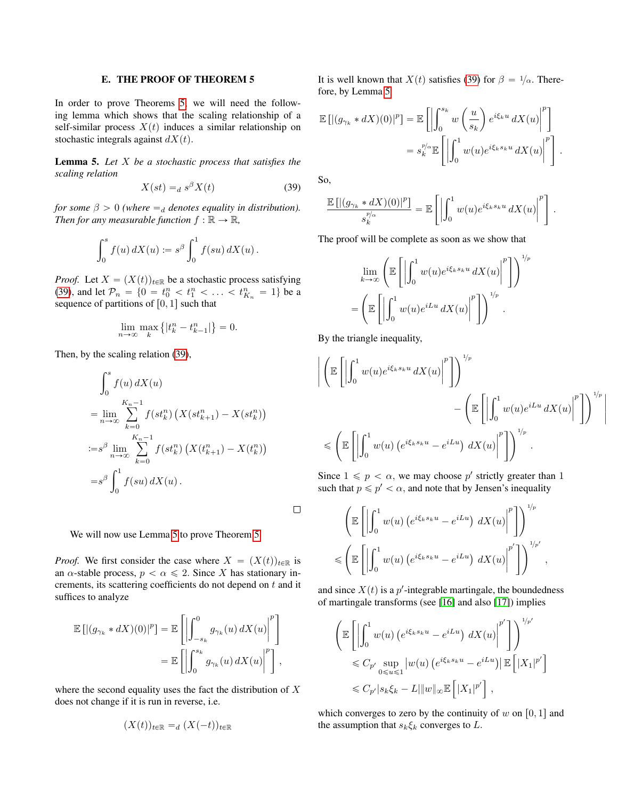## E. THE PROOF OF THEOREM 5

In order to prove Theorems [5,](#page-3-5) we will need the following lemma which shows that the scaling relationship of a self-similar process  $X(t)$  induces a similar relationship on stochastic integrals against  $dX(t)$ .

<span id="page-10-1"></span>Lemma 5. *Let* X *be a stochastic process that satisfies the scaling relation*

<span id="page-10-0"></span>
$$
X(st) =_d s^{\beta} X(t) \tag{39}
$$

*for some*  $\beta > 0$  *(where*  $=$ <sub>*d</sub> denotes equality in distribution).*</sub> *Then for any measurable function*  $f : \mathbb{R} \to \mathbb{R}$ *,* 

$$
\int_0^s f(u) \, dX(u) \coloneqq s^{\beta} \int_0^1 f(su) \, dX(u) \, .
$$

*Proof.* Let  $X = (X(t))_{t \in \mathbb{R}}$  be a stochastic process satisfying [\(39\)](#page-10-0), and let  $\mathcal{P}_n = \{0 = t_0^n < t_1^n < \ldots < t_{K_n}^n = 1\}$  be a sequence of partitions of  $[0, 1]$  such that

$$
\lim_{n \to \infty} \max_{k} \left\{ |t_k^n - t_{k-1}^n| \right\} = 0.
$$

Then, by the scaling relation [\(39\)](#page-10-0),

$$
\int_{0}^{s} f(u) dX(u)
$$
\n
$$
= \lim_{n \to \infty} \sum_{k=0}^{K_{n}-1} f(st_{k}^{n}) \left( X(st_{k+1}^{n}) - X(st_{k}^{n}) \right)
$$
\n
$$
:= s^{\beta} \lim_{n \to \infty} \sum_{k=0}^{K_{n}-1} f(st_{k}^{n}) \left( X(t_{k+1}^{n}) - X(t_{k}^{n}) \right)
$$
\n
$$
= s^{\beta} \int_{0}^{1} f(su) dX(u).
$$

We will now use Lemma [5](#page-10-1) to prove Theorem [5.](#page-3-5)

*Proof.* We first consider the case where  $X = (X(t))_{t\in\mathbb{R}}$  is an  $\alpha$ -stable process,  $p < \alpha \leq 2$ . Since X has stationary increments, its scattering coefficients do not depend on t and it suffices to analyze

$$
\mathbb{E}\left[\left|(g_{\gamma_k} * dX)(0)\right|^p\right] = \mathbb{E}\left[\left|\int_{-s_k}^0 g_{\gamma_k}(u) dX(u)\right|^p\right]
$$

$$
= \mathbb{E}\left[\left|\int_0^{s_k} g_{\gamma_k}(u) dX(u)\right|^p\right],
$$

where the second equality uses the fact the distribution of  $X$ does not change if it is run in reverse, i.e.

$$
(X(t))_{t \in \mathbb{R}} =_d (X(-t))_{t \in \mathbb{R}}
$$

It is well known that  $X(t)$  satisfies [\(39\)](#page-10-0) for  $\beta = \frac{1}{\alpha}$ . Therefore, by Lemma [5](#page-10-1)

.<br>∸

$$
\mathbb{E}\left[|(g_{\gamma_k} * dX)(0)|^p\right] = \mathbb{E}\left[\left|\int_0^{s_k} w\left(\frac{u}{s_k}\right) e^{i\xi_k u} dX(u)\right|^p\right] \n= s_k^{p/\alpha} \mathbb{E}\left[\left|\int_0^1 w(u) e^{i\xi_k s_k u} dX(u)\right|^p\right].
$$

So,

 $\Box$ 

$$
\frac{\mathbb{E}\left[\left|(g_{\gamma_k}*dX)(0)\right|^p\right]}{s_k^{p/\alpha}} = \mathbb{E}\left[\left|\int_0^1 w(u)e^{i\xi_k s_k u} dX(u)\right|^p\right].
$$

ff

ˇ  $\overline{\phantom{a}}$  $\overline{\phantom{a}}$  $\overline{\phantom{a}}$ 

The proof will be complete as soon as we show that

$$
\lim_{k \to \infty} \left( \mathbb{E} \left[ \left| \int_0^1 w(u) e^{i\xi_k s_k u} dX(u) \right|^p \right] \right)^{1/p}
$$

$$
= \left( \mathbb{E} \left[ \left| \int_0^1 w(u) e^{iLu} dX(u) \right|^p \right] \right)^{1/p}.
$$

By the triangle inequality,

$$
\left| \left( \mathbb{E} \left[ \left| \int_0^1 w(u) e^{i\xi_k s_k u} dX(u) \right|^p \right] \right)^{1/p} - \left( \mathbb{E} \left[ \left| \int_0^1 w(u) e^{iLu} dX(u) \right|^p \right] \right)^{1/p} \right|
$$
  

$$
\leq \left( \mathbb{E} \left[ \left| \int_0^1 w(u) \left( e^{i\xi_k s_k u} - e^{iLu} \right) dX(u) \right|^p \right] \right)^{1/p}.
$$

Since  $1 \leq p < \alpha$ , we may choose p' strictly greater than 1 such that  $p \leq p' < \alpha$ , and note that by Jensen's inequality

$$
\left(\mathbb{E}\left[\left|\int_0^1 w(u)\left(e^{i\xi_k s_k u}-e^{iLu}\right) dX(u)\right|^p\right]\right)^{1/p}
$$
  

$$
\leqslant \left(\mathbb{E}\left[\left|\int_0^1 w(u)\left(e^{i\xi_k s_k u}-e^{iLu}\right) dX(u)\right|^{p'}\right]\right)^{1/p'},
$$

and since  $X(t)$  is a p'-integrable martingale, the boundedness of martingale transforms (see [\[16\]](#page-4-15) and also [\[17\]](#page-4-16)) implies

$$
\left(\mathbb{E}\left[\left|\int_0^1 w(u)\left(e^{i\xi_k s_k u}-e^{iLu}\right) dX(u)\right|^{p'}\right]\right)^{1/p'}\leq C_{p'} \sup_{0\leq u\leq 1} |w(u)\left(e^{i\xi_k s_k u}-e^{iLu}\right)| \mathbb{E}\left[|X_1|^{p'}\right]\leq C_{p'}|s_k \xi_k - L|\|w\|_{\infty} \mathbb{E}\left[|X_1|^{p'}\right],
$$

which converges to zero by the continuity of w on  $[0, 1]$  and the assumption that  $s_k \xi_k$  converges to  $L$ .